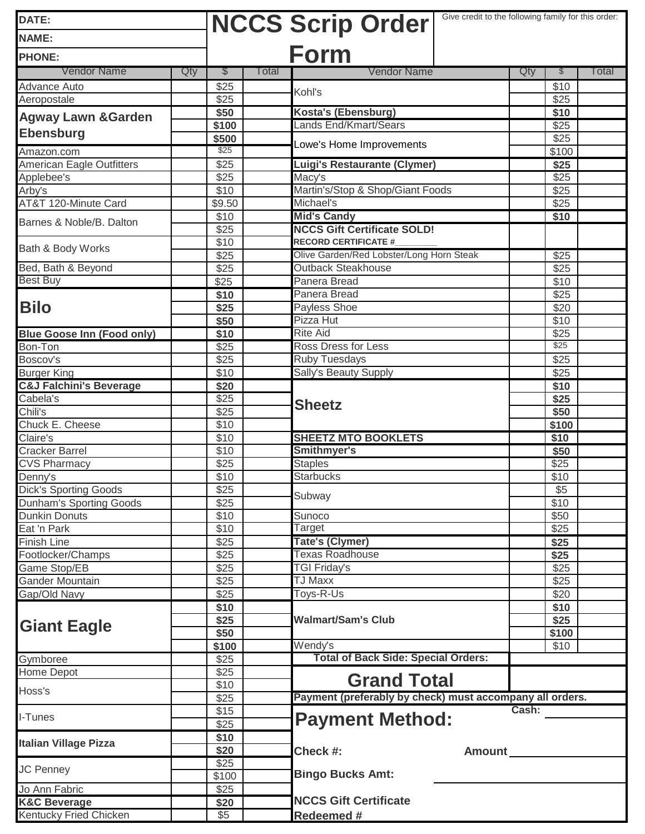| DATE:                              |                           | <b>NCCS Scrip Order</b>                                                 | Give credit to the following family for this order: |  |  |  |
|------------------------------------|---------------------------|-------------------------------------------------------------------------|-----------------------------------------------------|--|--|--|
| <b>NAME:</b>                       |                           |                                                                         |                                                     |  |  |  |
| <b>PHONE:</b>                      |                           | <b>Form</b>                                                             |                                                     |  |  |  |
| <b>Vendor Name</b>                 | <b>Total</b><br>Qty<br>S. | <b>Vendor Name</b>                                                      | Qty<br>l otal<br>$\mathbb{S}$                       |  |  |  |
| Advance Auto                       | $\sqrt{$25}$              |                                                                         | \$10                                                |  |  |  |
| Aeropostale                        | $\overline{$25}$          | Kohl's                                                                  | \$25                                                |  |  |  |
| <b>Agway Lawn &amp; Garden</b>     | \$50                      | Kosta's (Ebensburg)                                                     | \$10                                                |  |  |  |
|                                    | \$100                     | <b>Lands End/Kmart/Sears</b>                                            | \$25                                                |  |  |  |
| <b>Ebensburg</b>                   | \$500                     | Lowe's Home Improvements                                                | \$25                                                |  |  |  |
| Amazon.com                         | \$25                      |                                                                         | \$100                                               |  |  |  |
| American Eagle Outfitters          | \$25                      | Luigi's Restaurante (Clymer)                                            | \$25                                                |  |  |  |
| Applebee's                         | \$25                      | Macy's                                                                  | \$25                                                |  |  |  |
| Arby's                             | \$10                      | Martin's/Stop & Shop/Giant Foods                                        | \$25                                                |  |  |  |
| AT&T 120-Minute Card               | \$9.50                    | Michael's                                                               | \$25                                                |  |  |  |
| Barnes & Noble/B. Dalton           | \$10                      | <b>Mid's Candy</b>                                                      | \$10                                                |  |  |  |
|                                    | \$25                      | <b>NCCS Gift Certificate SOLD!</b>                                      |                                                     |  |  |  |
| Bath & Body Works                  | \$10                      | <b>RECORD CERTIFICATE #</b><br>Olive Garden/Red Lobster/Long Horn Steak |                                                     |  |  |  |
| Bed, Bath & Beyond                 | $\overline{$25}$          | <b>Outback Steakhouse</b>                                               | \$25                                                |  |  |  |
| <b>Best Buy</b>                    | \$25<br>\$25              | Panera Bread                                                            | \$25<br>\$10                                        |  |  |  |
|                                    |                           | Panera Bread                                                            | \$25                                                |  |  |  |
| <b>Bilo</b>                        | \$10<br>\$25              | Payless Shoe                                                            | \$20                                                |  |  |  |
|                                    | \$50                      | Pizza Hut                                                               | \$10                                                |  |  |  |
| <b>Blue Goose Inn (Food only)</b>  | \$10                      | <b>Rite Aid</b>                                                         | \$25                                                |  |  |  |
| Bon-Ton                            | $\sqrt{$25}$              | <b>Ross Dress for Less</b>                                              | \$25                                                |  |  |  |
| Boscov's                           | $\overline{$25}$          | <b>Ruby Tuesdays</b>                                                    | \$25                                                |  |  |  |
| <b>Burger King</b>                 | \$10                      | <b>Sally's Beauty Supply</b>                                            | \$25                                                |  |  |  |
| <b>C&amp;J Falchini's Beverage</b> | \$20                      |                                                                         | \$10                                                |  |  |  |
| Cabela's                           | \$25                      |                                                                         | \$25                                                |  |  |  |
| Chili's                            | \$25                      | <b>Sheetz</b>                                                           | \$50                                                |  |  |  |
| Chuck E. Cheese                    | \$10                      |                                                                         | \$100                                               |  |  |  |
| Claire's                           | \$10                      | <b>SHEETZ MTO BOOKLETS</b>                                              | \$10                                                |  |  |  |
| <b>Cracker Barrel</b>              | \$10                      | Smithmyer's                                                             | \$50                                                |  |  |  |
| <b>CVS Pharmacy</b>                | \$25                      | <b>Staples</b>                                                          | \$25                                                |  |  |  |
| Denny's                            | \$10                      | <b>Starbucks</b>                                                        | \$10                                                |  |  |  |
| <b>Dick's Sporting Goods</b>       | \$25                      | Subway                                                                  | \$5                                                 |  |  |  |
| <b>Dunham's Sporting Goods</b>     | \$25                      |                                                                         | \$10                                                |  |  |  |
| <b>Dunkin Donuts</b>               | \$10                      | Sunoco                                                                  | \$50                                                |  |  |  |
| Eat 'n Park                        | \$10                      | Target                                                                  | \$25                                                |  |  |  |
| <b>Finish Line</b>                 | \$25                      | <b>Tate's (Clymer)</b>                                                  | \$25                                                |  |  |  |
| Footlocker/Champs                  | \$25                      | <b>Texas Roadhouse</b>                                                  | \$25                                                |  |  |  |
| Game Stop/EB                       | \$25                      | <b>TGI Friday's</b>                                                     | \$25                                                |  |  |  |
| Gander Mountain                    | \$25                      | <b>TJ Maxx</b>                                                          | \$25                                                |  |  |  |
| Gap/Old Navy                       | \$25                      | Toys-R-Us                                                               | \$20                                                |  |  |  |
| <b>Giant Eagle</b>                 | \$10                      | <b>Walmart/Sam's Club</b>                                               | \$10                                                |  |  |  |
|                                    | \$25                      |                                                                         | \$25                                                |  |  |  |
|                                    | \$50<br>\$100             | Wendy's                                                                 | \$100<br>\$10                                       |  |  |  |
| Gymboree                           | \$25                      | <b>Total of Back Side: Special Orders:</b>                              |                                                     |  |  |  |
| Home Depot                         | \$25                      |                                                                         |                                                     |  |  |  |
| Hoss's                             | \$10                      | <b>Grand Total</b>                                                      |                                                     |  |  |  |
|                                    | \$25                      | Payment (preferably by check) must accompany all orders.                |                                                     |  |  |  |
| I-Tunes                            | \$15                      |                                                                         | Cash:                                               |  |  |  |
|                                    | \$25                      | <b>Payment Method:</b>                                                  |                                                     |  |  |  |
| <b>Italian Village Pizza</b>       | \$10                      |                                                                         |                                                     |  |  |  |
|                                    | \$20                      | Check #:<br>Amount                                                      |                                                     |  |  |  |
| <b>JC Penney</b>                   | \$25                      |                                                                         |                                                     |  |  |  |
|                                    | \$100                     | <b>Bingo Bucks Amt:</b>                                                 |                                                     |  |  |  |
| Jo Ann Fabric                      | \$25                      |                                                                         |                                                     |  |  |  |
| <b>K&amp;C Beverage</b>            | \$20                      | <b>NCCS Gift Certificate</b>                                            |                                                     |  |  |  |
| Kentucky Fried Chicken             | \$5                       | Redeemed #                                                              |                                                     |  |  |  |